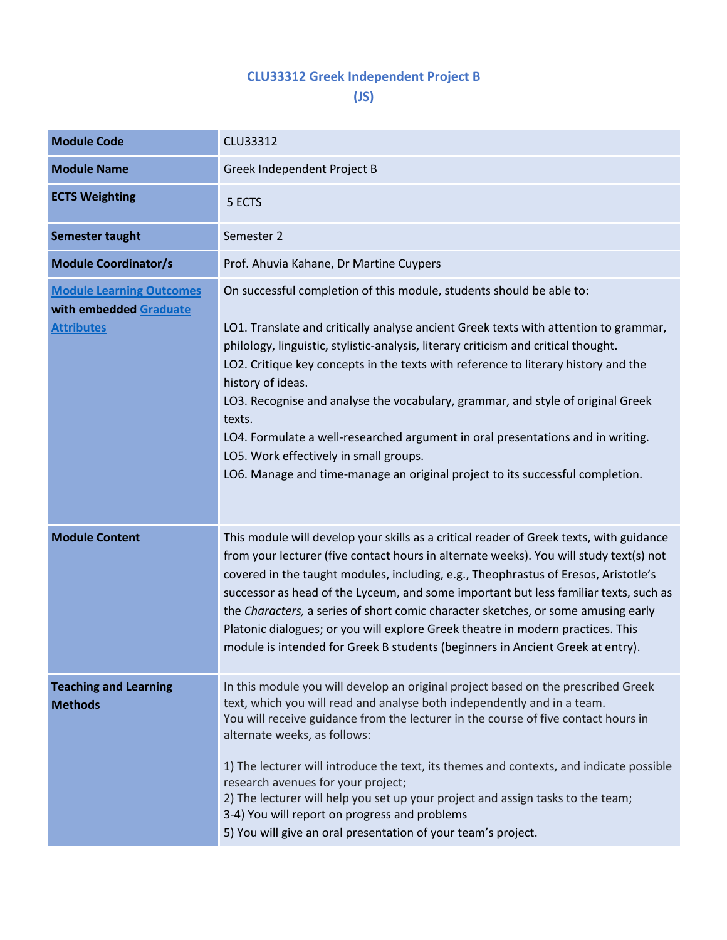## **CLU33312 Greek Independent Project B**

**(JS)**

| <b>Module Code</b>                                                             | CLU33312                                                                                                                                                                                                                                                                                                                                                                                                                                                                                                                                                                                                                                                                  |  |  |  |  |
|--------------------------------------------------------------------------------|---------------------------------------------------------------------------------------------------------------------------------------------------------------------------------------------------------------------------------------------------------------------------------------------------------------------------------------------------------------------------------------------------------------------------------------------------------------------------------------------------------------------------------------------------------------------------------------------------------------------------------------------------------------------------|--|--|--|--|
| <b>Module Name</b>                                                             | Greek Independent Project B                                                                                                                                                                                                                                                                                                                                                                                                                                                                                                                                                                                                                                               |  |  |  |  |
| <b>ECTS Weighting</b>                                                          | 5 ECTS                                                                                                                                                                                                                                                                                                                                                                                                                                                                                                                                                                                                                                                                    |  |  |  |  |
| Semester taught                                                                | Semester 2                                                                                                                                                                                                                                                                                                                                                                                                                                                                                                                                                                                                                                                                |  |  |  |  |
| <b>Module Coordinator/s</b>                                                    | Prof. Ahuvia Kahane, Dr Martine Cuypers                                                                                                                                                                                                                                                                                                                                                                                                                                                                                                                                                                                                                                   |  |  |  |  |
| <b>Module Learning Outcomes</b><br>with embedded Graduate<br><b>Attributes</b> | On successful completion of this module, students should be able to:<br>LO1. Translate and critically analyse ancient Greek texts with attention to grammar,<br>philology, linguistic, stylistic-analysis, literary criticism and critical thought.<br>LO2. Critique key concepts in the texts with reference to literary history and the<br>history of ideas.<br>LO3. Recognise and analyse the vocabulary, grammar, and style of original Greek<br>texts.<br>LO4. Formulate a well-researched argument in oral presentations and in writing.<br>LO5. Work effectively in small groups.<br>LO6. Manage and time-manage an original project to its successful completion. |  |  |  |  |
| <b>Module Content</b>                                                          | This module will develop your skills as a critical reader of Greek texts, with guidance<br>from your lecturer (five contact hours in alternate weeks). You will study text(s) not<br>covered in the taught modules, including, e.g., Theophrastus of Eresos, Aristotle's<br>successor as head of the Lyceum, and some important but less familiar texts, such as<br>the Characters, a series of short comic character sketches, or some amusing early<br>Platonic dialogues; or you will explore Greek theatre in modern practices. This<br>module is intended for Greek B students (beginners in Ancient Greek at entry).                                                |  |  |  |  |
| <b>Teaching and Learning</b><br><b>Methods</b>                                 | In this module you will develop an original project based on the prescribed Greek<br>text, which you will read and analyse both independently and in a team.<br>You will receive guidance from the lecturer in the course of five contact hours in<br>alternate weeks, as follows:<br>1) The lecturer will introduce the text, its themes and contexts, and indicate possible<br>research avenues for your project;<br>2) The lecturer will help you set up your project and assign tasks to the team;<br>3-4) You will report on progress and problems<br>5) You will give an oral presentation of your team's project.                                                  |  |  |  |  |